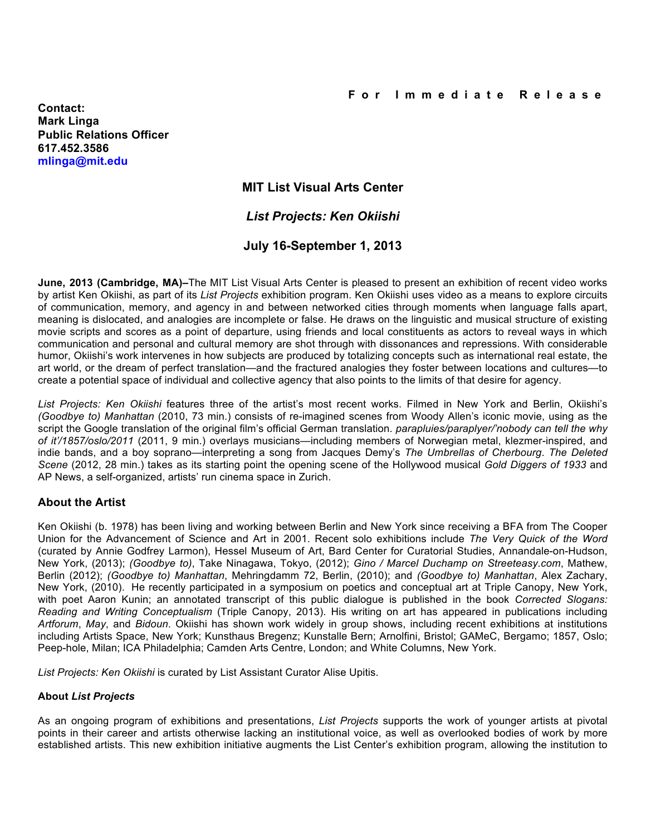**Contact: Mark Linga Public Relations Officer 617.452.3586 mlinga@mit.edu**

# **MIT List Visual Arts Center**

# *List Projects: Ken Okiishi*

## **July 16-September 1, 2013**

**June, 2013 (Cambridge, MA)–**The MIT List Visual Arts Center is pleased to present an exhibition of recent video works by artist Ken Okiishi, as part of its *List Projects* exhibition program. Ken Okiishi uses video as a means to explore circuits of communication, memory, and agency in and between networked cities through moments when language falls apart, meaning is dislocated, and analogies are incomplete or false. He draws on the linguistic and musical structure of existing movie scripts and scores as a point of departure, using friends and local constituents as actors to reveal ways in which communication and personal and cultural memory are shot through with dissonances and repressions. With considerable humor, Okiishi's work intervenes in how subjects are produced by totalizing concepts such as international real estate, the art world, or the dream of perfect translation—and the fractured analogies they foster between locations and cultures—to create a potential space of individual and collective agency that also points to the limits of that desire for agency.

*List Projects: Ken Okiishi* features three of the artist's most recent works. Filmed in New York and Berlin, Okiishi's *(Goodbye to) Manhattan* (2010, 73 min.) consists of re-imagined scenes from Woody Allen's iconic movie, using as the script the Google translation of the original film's official German translation. *parapluies/paraplyer/'nobody can tell the why of it'/1857/oslo/2011* (2011, 9 min.) overlays musicians—including members of Norwegian metal, klezmer-inspired, and indie bands, and a boy soprano—interpreting a song from Jacques Demy's *The Umbrellas of Cherbourg*. *The Deleted Scene* (2012, 28 min.) takes as its starting point the opening scene of the Hollywood musical *Gold Diggers of 1933* and AP News, a self-organized, artists' run cinema space in Zurich.

### **About the Artist**

Ken Okiishi (b. 1978) has been living and working between Berlin and New York since receiving a BFA from The Cooper Union for the Advancement of Science and Art in 2001. Recent solo exhibitions include *The Very Quick of the Word* (curated by Annie Godfrey Larmon), Hessel Museum of Art, Bard Center for Curatorial Studies, Annandale-on-Hudson, New York, (2013); *(Goodbye to)*, Take Ninagawa, Tokyo, (2012); *Gino / Marcel Duchamp on Streeteasy.com*, Mathew, Berlin (2012); *(Goodbye to) Manhattan*, Mehringdamm 72, Berlin, (2010); and *(Goodbye to) Manhattan*, Alex Zachary, New York, (2010). He recently participated in a symposium on poetics and conceptual art at Triple Canopy, New York, with poet Aaron Kunin; an annotated transcript of this public dialogue is published in the book *Corrected Slogans: Reading and Writing Conceptualism* (Triple Canopy, 2013). His writing on art has appeared in publications including *Artforum*, *May*, and *Bidoun*. Okiishi has shown work widely in group shows, including recent exhibitions at institutions including Artists Space, New York; Kunsthaus Bregenz; Kunstalle Bern; Arnolfini, Bristol; GAMeC, Bergamo; 1857, Oslo; Peep-hole, Milan; ICA Philadelphia; Camden Arts Centre, London; and White Columns, New York.

*List Projects: Ken Okiishi* is curated by List Assistant Curator Alise Upitis.

### **About** *List Projects*

As an ongoing program of exhibitions and presentations, *List Projects* supports the work of younger artists at pivotal points in their career and artists otherwise lacking an institutional voice, as well as overlooked bodies of work by more established artists. This new exhibition initiative augments the List Center's exhibition program, allowing the institution to